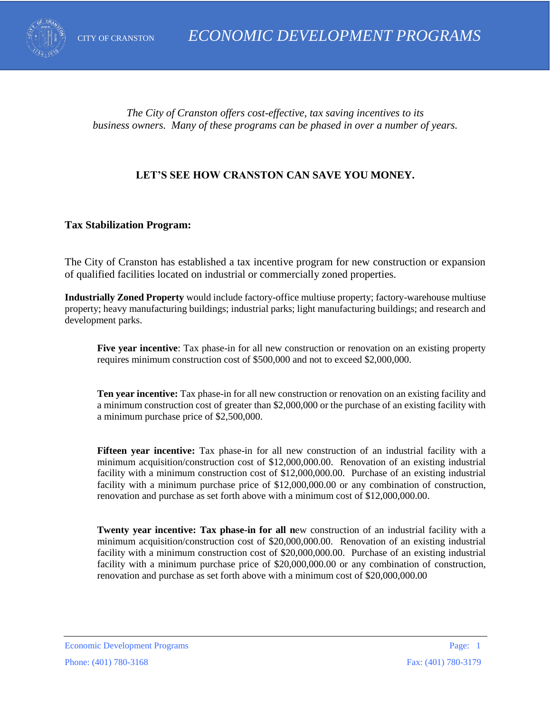

*The City of Cranston offers cost-effective, tax saving incentives to its business owners. Many of these programs can be phased in over a number of years.*

# **LET'S SEE HOW CRANSTON CAN SAVE YOU MONEY.**

#### **Tax Stabilization Program:**

The City of Cranston has established a tax incentive program for new construction or expansion of qualified facilities located on industrial or commercially zoned properties.

**Industrially Zoned Property** would include factory-office multiuse property; factory-warehouse multiuse property; heavy manufacturing buildings; industrial parks; light manufacturing buildings; and research and development parks.

**Five year incentive**: Tax phase-in for all new construction or renovation on an existing property requires minimum construction cost of \$500,000 and not to exceed \$2,000,000.

**Ten year incentive:** Tax phase-in for all new construction or renovation on an existing facility and a minimum construction cost of greater than \$2,000,000 or the purchase of an existing facility with a minimum purchase price of \$2,500,000.

**Fifteen year incentive:** Tax phase-in for all new construction of an industrial facility with a minimum acquisition/construction cost of \$12,000,000.00. Renovation of an existing industrial facility with a minimum construction cost of \$12,000,000.00. Purchase of an existing industrial facility with a minimum purchase price of \$12,000,000.00 or any combination of construction, renovation and purchase as set forth above with a minimum cost of \$12,000,000.00.

**Twenty year incentive: Tax phase-in for all new construction of an industrial facility with a** minimum acquisition/construction cost of \$20,000,000.00. Renovation of an existing industrial facility with a minimum construction cost of \$20,000,000.00. Purchase of an existing industrial facility with a minimum purchase price of \$20,000,000.00 or any combination of construction, renovation and purchase as set forth above with a minimum cost of \$20,000,000.00